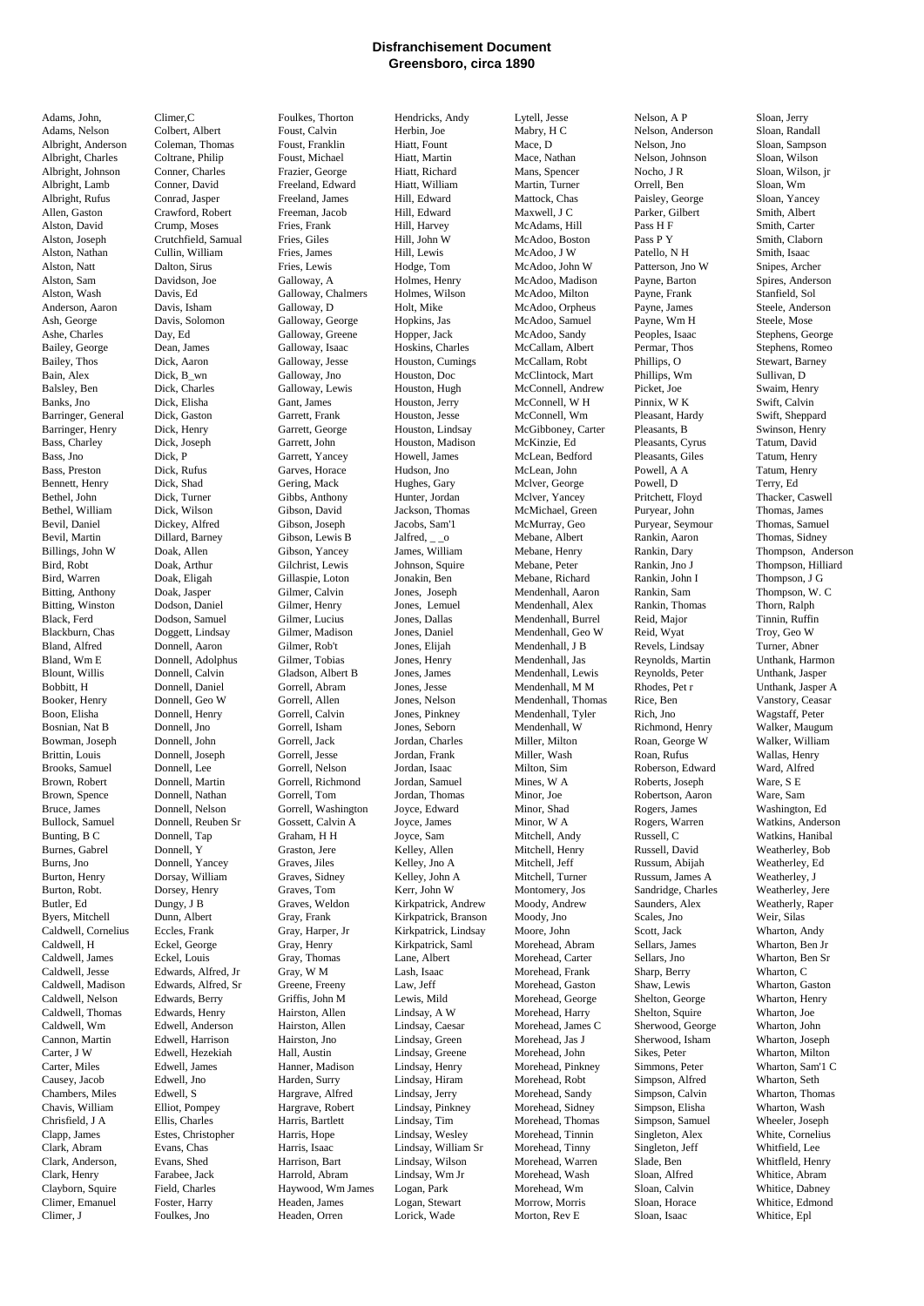## **Disfranchisement Document Greensboro, circa 1890**

Adams, John, Climer,C Foulkes, Thorton Hendricks, Andy Lytell, Jesse Nelson, A P Sloan, Jerry Adams, Nelson Colbert, Albert Foust, Calvin Herbin, Joe Mabry, H C Nelson, Anderson Sloan, Randall Albright, Anderson Coleman, Thomas Foust, Franklin Hiatt, Fount Mace, D Nelson, Jno Sloan, Sampson Albright, Charles Coltrane, Philip Foust, Michael Hiatt, Martin Mace, Nathan Nelson, Johnson Sloan, Wilson Albright, Johnson Conner, Charles Frazier, George Hiatt, Richard Mans, Spencer Nocho, J R Sloan, Wilson, jr Albright, Lamb Conner, David Freeland, Edward Hiatt, William Martin, Turner Orrell, Ben Sloan, Wm Albright, Rufus Conrad, Jasper Freeland, James Hill, Edward Mattock, Chas Paisley, George Sloan, Yancey Allen, Gaston Crawford, Robert Freeman, Jacob Hill, Edward Maxwell, J C Parker, Gilbert Smith, Albert Alston, David Crump, Moses Fries, Frank Hill, Harvey McAdams, Hill Pass H F Smith, Carter Alston, Joseph Crutchfield, Samual Fries, Giles Hill, John W McAdoo, Boston Pass P Y Smith, Claborn Alston, Nathan Cullin, William Fries, James Hill, Lewis McAdoo, J W Patello, N H Smith, Isaac Alston, Natt Dalton, Sirus Fries, Lewis Hodge, Tom McAdoo, John W Patterson, Jno W Snipes, Archer Alston, Sam Davidson, Joe Galloway, A Holmes, Henry McAdoo, Madison Payne, Barton Spires, Anderson Alston, Wash Davis, Ed Galloway, Chalmers Holmes, Wilson McAdoo, Milton Payne, Frank Stanfield, Sol Anderson, Aaron Davis, Isham Galloway, D Holt, Mike McAdoo, Orpheus Payne, James Steele, Anderson Ash, George Davis, Solomon Galloway, George Hopkins, Jas McAdoo, Samuel Payne, Wm H Steele, Mose Ashe, Charles Day, Ed Galloway, Greene Hopper, Jack McAdoo, Sandy Peoples, Isaac Stephens, George Bailey, George Dean, James Galloway, Isaac Hoskins, Charles McCallam, Albert Permar, Thos Stephens, Romeo Bailey, Thos Dick, Aaron Galloway, Jesse Houston, Cumings McCallam, Robt Phillips, O Stewart, Barney Bain, Alex Dick, B\_wn Galloway, Jno Houston, Doc McClintock, Mart Phillips, Wm Sullivan, D Balsley, Ben Dick, Charles Galloway, Lewis Houston, Hugh McConnell, Andrew Picket, Joe Swaim, Henry Banks, Jno Dick, Elisha Gant, James Houston, Jerry McConnell, W H Pinnix, W K Swift, Calvin Barringer, General Dick, Gaston Garrett, Frank Houston, Jesse McConnell, Wm Pleasant, Hardy Swift, Sheppard Barringer, Henry Dick, Henry Garrett, George Houston, Lindsay McGibboney, Carter Pleasants, B Swinson, Henry Bass, Charley Dick, Joseph Garrett, John Houston, Madison McKinzie, Ed Pleasants, Cyrus Tatum, David Bass, Jno Dick, P Garrett, Yancey Howell, James McLean, Bedford Pleasants, Giles Tatum, Henry Bass, Preston Dick, Rufus Garves, Horace Hudson, Jno McLean, John Powell, A A Tatum, Henry Bennett, Henry Dick, Shad Gering, Mack Hughes, Gary Mclver, George Powell, D Terry, Ed Bethel, John Dick, Turner Gibbs, Anthony Hunter, Jordan Mclver, Yancey Pritchett, Floyd Thacker, Caswell Bethel, William Dick, Wilson Gibson, David Jackson, Thomas McMichael, Green Puryear, John Thomas, James Bevil, Daniel Dickey, Alfred Gibson, Joseph Jacobs, Sam'l McMurray, Geo Puryear, Seymour Thomas, Samuel Bevil, Martin Dillard, Barney Gibson, Lewis B Jalfred, \_\_o Mebane, Albert Rankin, Aaron Thomas, Sidney Billings, John W Doak, Allen Gibson, Yancey James, William Mebane, Henry Rankin, Dary Thompson, Anderson Bird, Robt Doak, Arthur Gilchrist, Lewis Johnson, Squire Mebane, Peter Rankin, Jno J Thompson, Hilliard Bird, Warren Doak, Eligah Gillaspie, Loton Jonakin, Ben Mebane, Richard Rankin, John I Thompson, J G Bitting, Anthony Doak, Jasper Gilmer, Calvin Jones, Joseph Mendenhall, Aaron Rankin, Sam Thompson, W. C Bitting, Winston Dodson, Daniel Gilmer, Henry Jones, Lemuel Mendenhall, Alex Rankin, Thomas Thorn, Ralph Black, Ferd Dodson, Samuel Gilmer, Lucius Jones, Dallas Mendenhall, Burrel Reid, Major Tinnin, Ruffin Blackburn, Chas Doggett, Lindsay Gilmer, Madison Jones, Daniel Mendenhall, Geo W Reid, Wyat Troy, Geo W Bland, Alfred Donnell, Aaron Gilmer, Rob't Jones, Elijah Mendenhall, J B Revels, Lindsay Turner, Abner Bland, Wm E Donnell, Adolphus Gilmer, Tobias Jones, Henry Mendenhall, Jas Reynolds, Martin Unthank, Harmon Blount, Willis Donnell, Calvin Gladson, Albert B Jones, James Mendenhall, Lewis Reynolds, Peter Unthank, Jasper Bobbitt, H Donnell, Daniel Gorrell, Abram Jones, Jesse Mendenhall, M M Rhodes, Pet r Unthank, Jasper A Booker, Henry Donnell, Geo W Gorrell, Allen Jones, Nelson Mendenhall, Thomas Rice, Ben Vanstory, Ceasar Boon, Elisha Donnell, Henry Gorrell, Calvin Jones, Pinkney Mendenhall, Tyler Rich, Jno Wagstaff, Peter Bosnian, Nat B Donnell, Jno Gorrell, Isham Jones, Seborn Mendenhall, W Richmond, Henry Walker, Maugum Bowman, Joseph Donnell, John Gorrell, Jack Jordan, Charles Miller, Milton Roan, George W Walker, William Brittin, Louis Donnell, Joseph Gorrell, Jesse Jordan, Frank Miller, Wash Roan, Rufus Wallas, Henry Brooks, Samuel Donnell, Lee Gorrell, Nelson Jordan, Isaac Milton, Sim Roberson, Edward Ward, Alfred Brown, Robert Donnell, Martin Gorrell, Richmond Jordan, Samuel Mines, W A Roberts, Joseph Ware, S E Brown, Spence Donnell, Nathan Gorrell, Tom Jordan, Thomas Minor, Joe Robertson, Aaron Ware, Sam Bruce, James Donnell, Nelson Gorrell, Washington Joyce, Edward Minor, Shad Rogers, James Washington, Ed Bullock, Samuel Donnell, Reuben Sr Gossett, Calvin A Joyce, James Minor, W A Rogers, Warren Watkins, Anderson Bunting, B C Donnell, Tap Graham, H H Joyce, Sam Mitchell, Andy Russell, C Watkins, Hanibal Burnes, Gabrel Donnell, Y Graston, Jere Kelley, Allen Mitchell, Henry Russell, David Weatherley, Bob Burns, Jno Donnell, Yancey Graves, Jiles Kelley, Jno A Mitchell, Jeff Russum, Abijah Weatherley, Ed Burton, Henry Dorsay, William Graves, Sidney Kelley, John A Mitchell, Turner Russum, James A Weatherley, J Burton, Robt. Dorsey, Henry Graves, Tom Kerr, John W Montomery, Jos Sandridge, Charles Weatherley, Jere Butler, Ed Dungy, J B Graves, Weldon Kirkpatrick, Andrew Moody, Andrew Saunders, Alex Weatherly, Raper Byers, Mitchell Dunn, Albert Gray, Frank Kirkpatrick, Branson Moody, Jno Scales, Jno Weir, Silas Caldwell, Cornelius Eccles, Frank Gray, Harper, Jr Kirkpatrick, Lindsay Moore, John Scott, Jack Wharton, Andy Caldwell, H Eckel, George Gray, Henry Kirkpatrick, Saml Morehead, Abram Sellars, James Wharton, Ben Jr Caldwell, James Eckel, Louis Gray, Thomas Lane, Albert Morehead, Carter Sellars, Jno Wharton, Ben Sr Caldwell, Jesse Edwards, Alfred, Jr Gray, W M Lash, Isaac Morehead, Frank Sharp, Berry Wharton, C Caldwell, Madison Edwards, Alfred, Sr Greene, Freeny Law, Jeff Morehead, Gaston Shaw, Lewis Wharton, Gaston Shaw, Lewis Caldwell, Nelson Edwards, Berry Griffis, John M Lewis, Mild Morehead, George Shelton, George Wharton, Henry Caldwell, Thomas Edwards, Henry Hairston, Allen Lindsay, A W Morehead, Harry Shelton, Squire Wharton, Joe Caldwell, Wm Edwell, Anderson Hairston, Allen Lindsay, Caesar Morehead, James C Sherwood, George Wharton, John Cannon, Martin Edwell, Harrison Hairston, Jno Lindsay, Green Morehead, Jas J Sherwood, Isham Wharton, Joseph Carter, J W Edwell, Hezekiah Hall, Austin Lindsay, Greene Morehead, John Sikes, Peter Wharton, Milton Carter, Miles Edwell, James Hanner, Madison Lindsay, Henry Morehead, Pinkney Simmons, Peter Wharton, Sam'1 C<br>Causey, Jacob Edwell, Jno Harden, Surry Lindsay, Hiram Morehead, Robt Simpson, Alfred Wharton, Seth Causey, Jacob Edwell, Jno Harden, Surry Lindsay, Hiram Morehead, Robt Simpson, Alfred Wharton, Seth Chambers, Miles Edwell, S Hargrave, Alfred Lindsay, Jerry Morehead, Sandy Simpson, Calvin Wharton, Thomas Chavis, William Elliot, Pompey Hargrave, Robert Lindsay, Pinkney Morehead, Sidney Simpson, Elisha Wharton, Wash Chrisfield, J A Ellis, Charles Harris, Bartlett Lindsay, Tim Morehead, Thomas Simpson, Samuel Wheeler, Joseph Clapp, James Estes, Christopher Harris, Hope Lindsay, Wesley Morehead, Tinnin Singleton, Alex White, Cornelius Clark, Abram Evans, Chas Harris, Isaac Lindsay, William Sr Morehead, Tinny Singleton, Jeff Whitfield, Lee Clark, Anderson, Evans, Shed Harrison, Bart Lindsay, Wilson Morehead, Warren Slade, Ben Whitfleld, Henry Clark, Henry Farabee, Jack Harrold, Abram Lindsay, Wm Jr Morehead, Wash Sloan, Alfred Whitice, Abram Clayborn, Squire Field, Charles Haywood, Wm James Logan, Park Morehead, Wm Sloan, Calvin Whitice, Dabney Climer, Emanuel Foster, Harry Headen, James Logan, Stewart Morrow, Morris Sloan, Horace Whitice, Edmond

Climer, J Foulkes, Jno Headen, Orren Lorick, Wade Morton, Rev E Sloan, Isaac Whitice, Epl